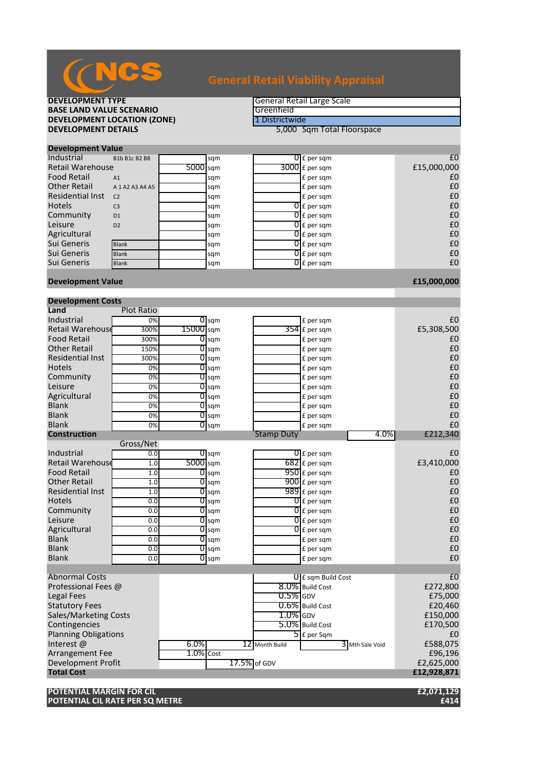

**DEVELOPMENT LOCATION (ZONE)**<br>DEVELOPMENT DETAILS

**DEVELOPMENT TYPE**<br> **BASE LAND VALUE SCENARIO** 

**BASE LAND VALUE SCENARIO**<br> **DEVELOPMENT LOCATION (ZONE) EXEMPLE ENGINEEER ENGINEEER ENGINEEER ENGINEEER EN DESTRICT DE DESTRICTE EN DE** 

**5,000 Sqm Total Floorspace** 

### **Development Value**

| <b>Industrial</b>       | B1b B1c B2 B8       |            | sqm | $\overline{0}$ E per sqm | £C          |
|-------------------------|---------------------|------------|-----|--------------------------|-------------|
| <b>Retail Warehouse</b> |                     | $5000$ sam |     | $3000$ E per sqm         | £15,000,000 |
| <b>Food Retail</b>      | A1                  |            | sqm | £ per sqm                | £C          |
| <b>Other Retail</b>     | A 1 A 2 A 3 A 4 A 5 |            | sqm | £ per sqm                | £C          |
| <b>Residential Inst</b> | C <sub>2</sub>      |            | sqm | £ per sqm                | £C          |
| <b>Hotels</b>           | C <sub>3</sub>      |            | sqm | $0f$ per sqm             | £C          |
| Community               | D <sub>1</sub>      |            | sqm | $\overline{0}$ E per sqm | £C          |
| Leisure                 | D2                  |            | sqm | $\overline{0}$ E per sqm | £C          |
| Agricultural            |                     |            | sqm | $\overline{0}$ E per sqm | £C          |
| Sui Generis             | <b>Blank</b>        |            | sqm | $0f$ per sqm             | £C          |
| Sui Generis             | <b>Blank</b>        |            | sqm | $\overline{0}$ E per sqm | £C          |
| Sui Generis             | <b>Blank</b>        |            | sqm | $\overline{O}$ E per sqm | £C          |
|                         |                     |            |     |                          |             |

# **Development Value £15,000,000**

| <b>Development Costs</b>         |                   |           |                    |                   |                           |            |  |
|----------------------------------|-------------------|-----------|--------------------|-------------------|---------------------------|------------|--|
| Land                             | <b>Plot Ratio</b> |           |                    |                   |                           |            |  |
| Industrial                       | 0%                |           | $\overline{0}$ sqm |                   | £ per sqm                 | £0         |  |
| <b>Retail Warehouse</b>          | 300%              | 15000 sqm |                    | 354               | £ per sqm                 | £5,308,500 |  |
| <b>Food Retail</b>               | 300%              |           | $\overline{O}$ sqm |                   | £ per sqm                 | £0         |  |
| <b>Other Retail</b>              | 150%              |           | $\overline{0}$ sqm |                   | £ per sqm                 | £0         |  |
| <b>Residential Inst</b>          | 300%              | 0         | sqm                |                   | £ per sqm                 | £0         |  |
| <b>Hotels</b>                    | 0%                |           | $\overline{O}$ sqm |                   | £ per sqm                 | £0         |  |
| Community                        | 0%                |           | $\overline{0}$ sqm |                   | £ per sqm                 | £0         |  |
| Leisure                          | $\overline{0\%}$  |           | $\overline{O}$ sqm |                   | £ per sqm                 | £0         |  |
| Agricultural                     | 0%                |           | $\overline{0}$ sqm |                   | £ per sqm                 | £0         |  |
| <b>Blank</b>                     | 0%                |           | $0$ sqm            |                   | £ per sqm                 | £0         |  |
| <b>Blank</b>                     | 0%                |           | $\overline{0}$ sqm |                   | £ per sqm                 | £0         |  |
| <b>Blank</b>                     | 0%                | 0         | sqm                |                   | £ per sqm                 | £0         |  |
| <b>Construction</b>              |                   |           |                    | <b>Stamp Duty</b> | 4.0%                      | £212,340   |  |
|                                  | Gross/Net         |           |                    |                   |                           |            |  |
| Industrial                       | 0.0               |           | 0 <sub>sgm</sub>   |                   | $\overline{0}$ E per sqm  | £0         |  |
| <b>Retail Warehouse</b>          | 1.0               | 5000 sqm  |                    |                   | $682$ £ per sqm           | £3,410,000 |  |
| <b>Food Retail</b>               | 1.0               |           | $0$ sqm            |                   | $950$ £ per sqm           | £0         |  |
| <b>Other Retail</b>              | 1.0               |           | $\overline{O}$ sqm |                   | 900 £ per sqm             | £0         |  |
| <b>Residential Inst</b>          | 1.0               |           | $\overline{O}$ sqm |                   | $989$ £ per sqm           | £0         |  |
| <b>Hotels</b>                    | 0.0               |           | $\overline{O}$ sqm |                   | $\overline{0}$ E per sqm  | £0         |  |
| Community                        | 0.0               |           | $\overline{O}$ sqm |                   | $\overline{0}$ £ per sqm  | £0         |  |
| Leisure                          | 0.0               | 01        | sqm                |                   | $\overline{0}$ £ per sqm  | £0         |  |
| Agricultural                     | 0.0               |           | $\overline{0}$ sqm |                   | $\overline{0}$ E per sam  | £0         |  |
| <b>Blank</b>                     | 0.0               |           | $\overline{O}$ sqm |                   | £ per sqm                 | £0         |  |
| <b>Blank</b>                     | 0.0               |           | $\overline{O}$ sqm |                   | £ per sqm                 | £0         |  |
| <b>Blank</b>                     | 0.0               | 0         | sqm                |                   | £ per sqm                 | £0         |  |
|                                  |                   |           |                    |                   |                           |            |  |
| <b>Abnormal Costs</b>            |                   |           |                    |                   | <b>U</b> E sqm Build Cost | £0         |  |
| Professional Fees @              |                   |           |                    |                   | 8.0% Build Cost           | £272,800   |  |
| <b>Legal Fees</b>                |                   |           |                    | $0.5\%$ GDV       |                           | £75,000    |  |
| <b>Statutory Fees</b>            |                   |           |                    |                   | $0.6\%$ Build Cost        | £20,460    |  |
| <b>Sales/Marketing Costs</b>     |                   |           |                    | $1.0\%$ GDV       |                           | £150,000   |  |
| Contingencies                    |                   |           |                    |                   | 5.0% Build Cost           | £170,500   |  |
| <b>Planning Obligations</b>      |                   |           |                    |                   | $\overline{5}$ E per Sqm  | £0         |  |
| Interest@                        |                   | $6.0\%$   |                    | 12 Month Build    | $3$ Mth Sale Void         | £588,075   |  |
| Arrangement Fee                  |                   | 1.0% Cost |                    |                   |                           | £96,196    |  |
| <b>Development Profit</b>        |                   |           | 17.5% of GDV       |                   | £2,625,000                |            |  |
| £12,928,871<br><b>Total Cost</b> |                   |           |                    |                   |                           |            |  |

**POTENTIAL MARGIN FOR CIL £2,071,129 POTENTIAL CIL RATE PER SQ METRE**